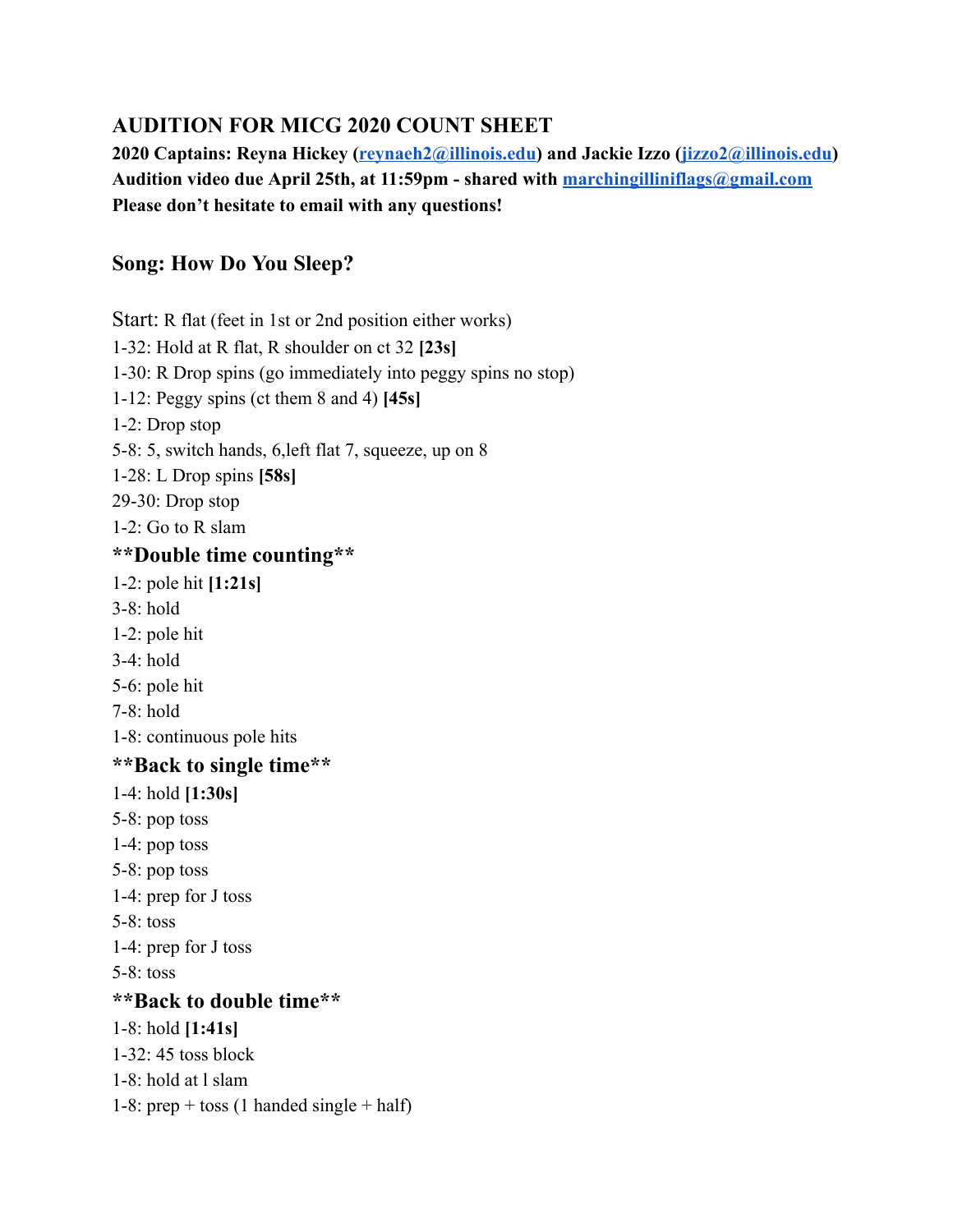# **AUDITION FOR MICG 2020 COUNT SHEET**

**2020 Captains: Reyna Hickey ( [reynaeh2@illinois.edu](mailto:reynaeh2@illinois.edu) ) and Jackie Izzo ( [jizzo2@illinois.edu \)](mailto:jizzo2@illinois.edu) Audition video due April 25th, at 11:59pm - shared with [marchingilliniflags@gmail.com](mailto:marchingilliniflags@gmail.com)  Please don't hesitate to email with any questions!** 

# **Song: How Do You Sleep?**

Start: R flat (feet in 1st or 2nd position either works) 1-32: Hold at R flat, R shoulder on ct 32 **[23s]**  1-30: R Drop spins (go immediately into peggy spins no stop) 1-12: Peggy spins (ct them 8 and 4) **[45s]**  1-2: Drop stop 5-8: 5, switch hands, 6,left flat 7, squeeze, up on 8 1-28: L Drop spins **[58s]**  29-30: Drop stop 1-2: Go to R slam **\*\*Double time counting\*\*** 1-2: pole hit **[1:21s]**  3-8: hold 1-2: pole hit 3-4: hold 5-6: pole hit 7-8: hold 1-8: continuous pole hits **\*\*Back to single time\*\*** 1-4: hold **[1:30s]**  5-8: pop toss 1-4: pop toss 5-8: pop toss 1-4: prep for J toss 5-8: toss 1-4: prep for J toss 5-8: toss **\*\*Back to double time\*\*** 1-8: hold **[1:41s]**  1-32: 45 toss block 1-8: hold at l slam 1-8: prep + toss (1 handed single + half)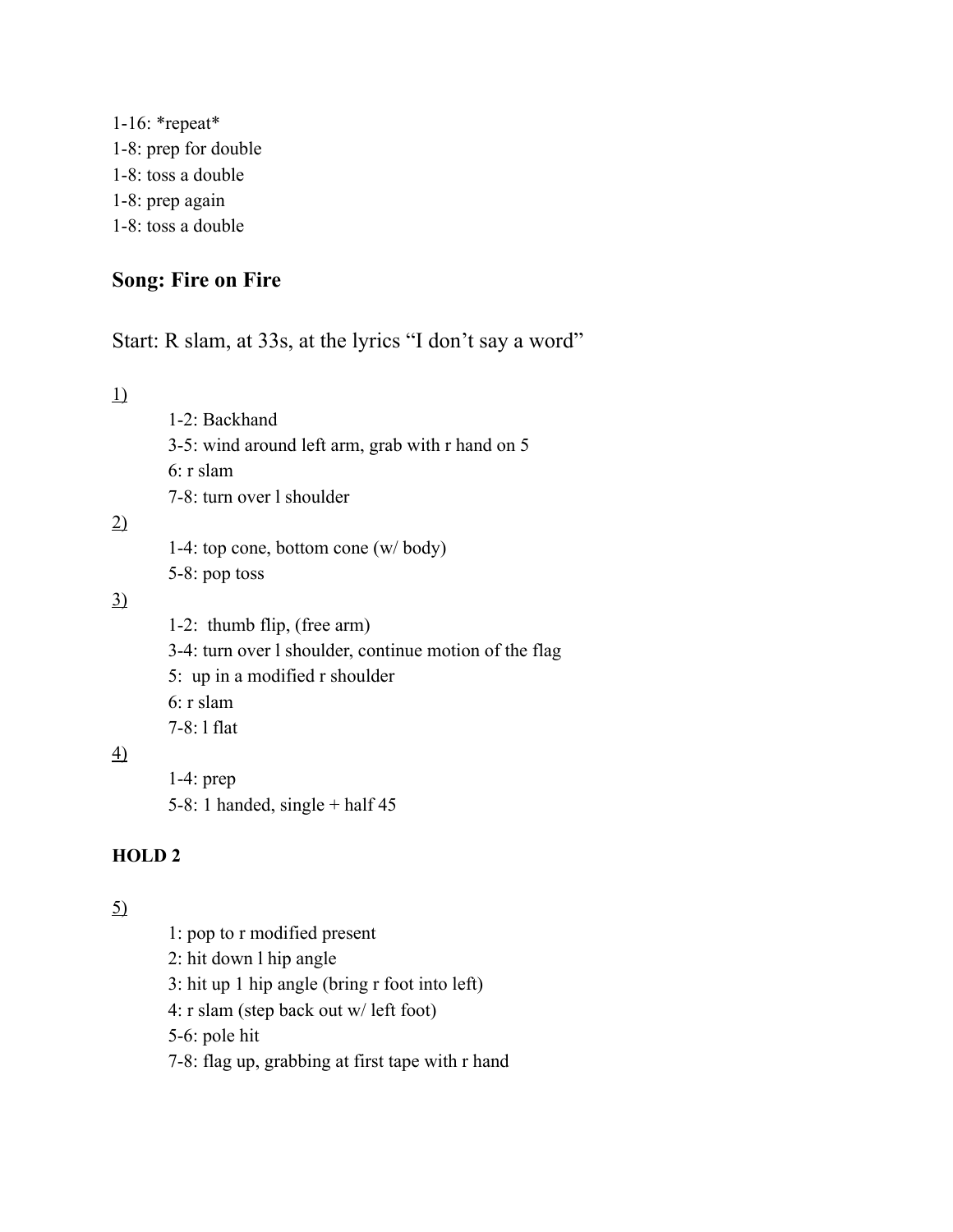1-16: \*repeat\* 1-8: prep for double 1-8: toss a double 1-8: prep again 1-8: toss a double

# **Song: Fire on Fire**

1-2: Backhand

Start: R slam, at 33s, at the lyrics "I don't say a word"

1)

2)

3)

| 3-5: wind around left arm, grab with r hand on 5                   |
|--------------------------------------------------------------------|
| $6: r$ slam                                                        |
| 7-8: turn over 1 shoulder                                          |
| 1-4: top cone, bottom cone $(w / \text{body})$<br>$5-8$ : pop toss |
| 1-2: thumb flip, (free arm)                                        |

- 3-4: turn over l shoulder, continue motion of the flag
- 5: up in a modified r shoulder
- 6: r slam
- 7-8: l flat

4)

1-4: prep 5-8: 1 handed, single  $+$  half 45

#### **HOLD 2**

### 5)

1: pop to r modified present 2: hit down l hip angle 3: hit up 1 hip angle (bring r foot into left) 4: r slam (step back out w/ left foot) 5-6: pole hit 7-8: flag up, grabbing at first tape with r hand